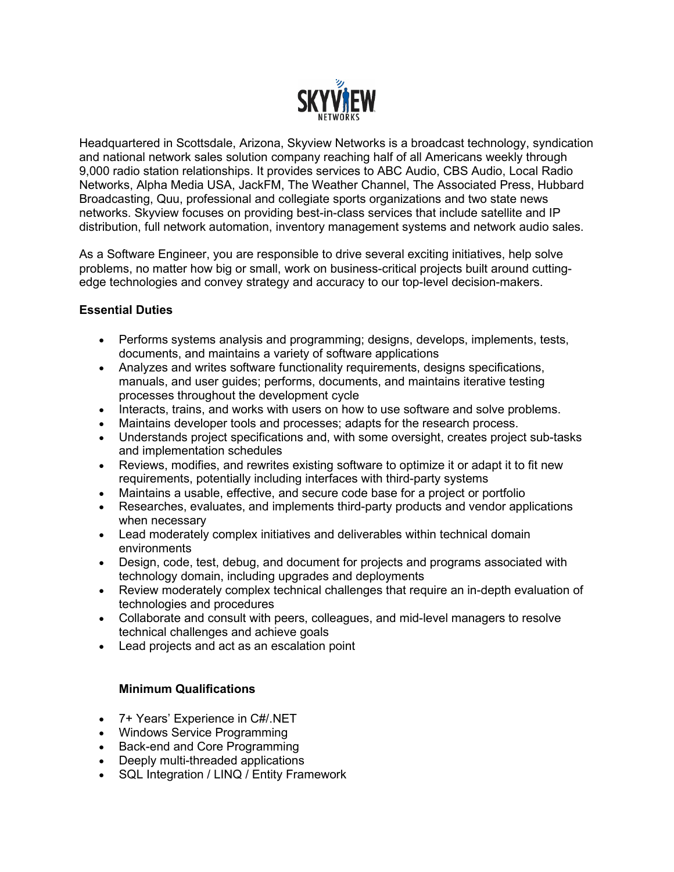

Headquartered in Scottsdale, Arizona, Skyview Networks is a broadcast technology, syndication and national network sales solution company reaching half of all Americans weekly through 9,000 radio station relationships. It provides services to ABC Audio, CBS Audio, Local Radio Networks, Alpha Media USA, JackFM, The Weather Channel, The Associated Press, Hubbard Broadcasting, Quu, professional and collegiate sports organizations and two state news networks. Skyview focuses on providing best-in-class services that include satellite and IP distribution, full network automation, inventory management systems and network audio sales.

As a Software Engineer, you are responsible to drive several exciting initiatives, help solve problems, no matter how big or small, work on business-critical projects built around cuttingedge technologies and convey strategy and accuracy to our top-level decision-makers.

# **Essential Duties**

- Performs systems analysis and programming; designs, develops, implements, tests, documents, and maintains a variety of software applications
- Analyzes and writes software functionality requirements, designs specifications, manuals, and user guides; performs, documents, and maintains iterative testing processes throughout the development cycle
- Interacts, trains, and works with users on how to use software and solve problems.
- Maintains developer tools and processes; adapts for the research process.
- Understands project specifications and, with some oversight, creates project sub-tasks and implementation schedules
- Reviews, modifies, and rewrites existing software to optimize it or adapt it to fit new requirements, potentially including interfaces with third-party systems
- Maintains a usable, effective, and secure code base for a project or portfolio
- Researches, evaluates, and implements third-party products and vendor applications when necessary
- Lead moderately complex initiatives and deliverables within technical domain environments
- Design, code, test, debug, and document for projects and programs associated with technology domain, including upgrades and deployments
- Review moderately complex technical challenges that require an in-depth evaluation of technologies and procedures
- Collaborate and consult with peers, colleagues, and mid-level managers to resolve technical challenges and achieve goals
- Lead projects and act as an escalation point

### **Minimum Qualifications**

- 7+ Years' Experience in C#/.NET
- Windows Service Programming
- Back-end and Core Programming
- Deeply multi-threaded applications
- SQL Integration / LINQ / Entity Framework